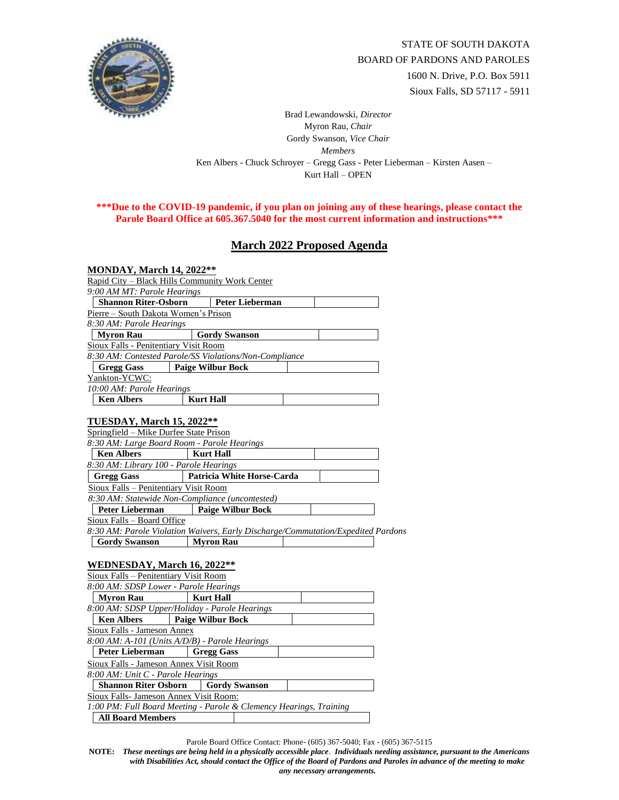

Brad Lewandowski, *Director* Myron Rau, *Chair*  Gordy Swanson, *Vice Chair Members* Ken Albers - Chuck Schroyer – Gregg Gass - Peter Lieberman – Kirsten Aasen – Kurt Hall – OPEN

## **\*\*\*Due to the COVID-19 pandemic, if you plan on joining any of these hearings, please contact the Parole Board Office at 605.367.5040 for the most current information and instructions\*\*\***

## **March 2022 Proposed Agenda**

| <b>MONDAY, March 14, 2022**</b>                                                  |                                                                    |
|----------------------------------------------------------------------------------|--------------------------------------------------------------------|
| Rapid City – Black Hills Community Work Center                                   |                                                                    |
| 9:00 AM MT: Parole Hearings                                                      |                                                                    |
| <b>Shannon Riter-Osborn</b>                                                      | <b>Peter Lieberman</b>                                             |
| Pierre - South Dakota Women's Prison                                             |                                                                    |
| 8:30 AM: Parole Hearings                                                         |                                                                    |
| <b>Myron Rau</b>                                                                 | <b>Gordy Swanson</b>                                               |
| Sioux Falls - Penitentiary Visit Room                                            |                                                                    |
|                                                                                  | 8:30 AM: Contested Parole/SS Violations/Non-Compliance             |
| <b>Gregg Gass</b>                                                                | <b>Paige Wilbur Bock</b>                                           |
| Yankton-YCWC:                                                                    |                                                                    |
| 10:00 AM: Parole Hearings                                                        |                                                                    |
| <b>Ken Albers</b>                                                                | <b>Kurt Hall</b>                                                   |
|                                                                                  |                                                                    |
| TUESDAY, March 15, 2022**                                                        |                                                                    |
| Springfield - Mike Durfee State Prison                                           |                                                                    |
| 8:30 AM: Large Board Room - Parole Hearings                                      |                                                                    |
| <b>Ken Albers</b>                                                                | <b>Kurt Hall</b>                                                   |
| 8:30 AM: Library 100 - Parole Hearings                                           |                                                                    |
| <b>Gregg Gass</b>                                                                | Patricia White Horse-Carda                                         |
| Sioux Falls - Penitentiary Visit Room                                            |                                                                    |
| 8:30 AM: Statewide Non-Compliance (uncontested)                                  |                                                                    |
| <b>Peter Lieberman</b>                                                           | <b>Paige Wilbur Bock</b>                                           |
| Sioux Falls - Board Office                                                       |                                                                    |
| 8:30 AM: Parole Violation Waivers, Early Discharge/Commutation/Expedited Pardons |                                                                    |
| <b>Gordy Swanson</b>                                                             | <b>Myron Rau</b>                                                   |
|                                                                                  |                                                                    |
| <b>WEDNESDAY, March 16, 2022**</b>                                               |                                                                    |
| Sioux Falls - Penitentiary Visit Room                                            |                                                                    |
| 8:00 AM: SDSP Lower - Parole Hearings                                            |                                                                    |
| <b>Myron Rau</b>                                                                 | <b>Kurt Hall</b>                                                   |
| 8:00 AM: SDSP Upper/Holiday - Parole Hearings                                    |                                                                    |
| <b>Ken Albers</b>                                                                | <b>Paige Wilbur Bock</b>                                           |
| <b>Sioux Falls - Jameson Annex</b>                                               |                                                                    |
| 8:00 AM: A-101 (Units A/D/B) - Parole Hearings                                   |                                                                    |
| Peter Lieberman                                                                  | <b>Gregg Gass</b>                                                  |
| Sioux Falls - Jameson Annex Visit Room                                           |                                                                    |
| 8:00 AM: Unit C - Parole Hearings                                                |                                                                    |
|                                                                                  |                                                                    |
| <b>Shannon Riter Osborn</b>                                                      | <b>Gordy Swanson</b>                                               |
|                                                                                  |                                                                    |
| Sioux Falls- Jameson Annex Visit Room:                                           | 1:00 PM: Full Board Meeting - Parole & Clemency Hearings, Training |

Parole Board Office Contact: Phone- (605) 367-5040; Fax - (605) 367-5115

**NOTE:** *These meetings are being held in a physically accessible place*. *Individuals needing assistance, pursuant to the Americans with Disabilities Act, should contact the Office of the Board of Pardons and Paroles in advance of the meeting to make any necessary arrangements.*